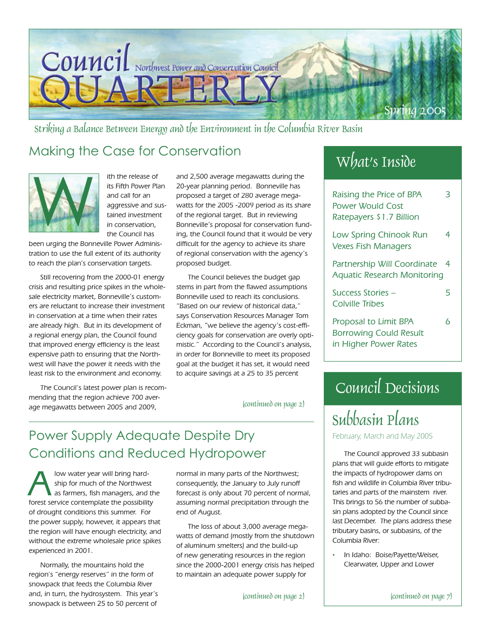

Striking a Balance Between Energy and the Environment in the Columbia River Basin

### Making the Case for Conservation



ith the release of its Fifth Power Plan and call for an aggressive and sustained investment in conservation, the Council has

been urging the Bonneville Power Administration to use the full extent of its authority to reach the plan's conservation targets.

Still recovering from the 2000-01 energy crisis and resulting price spikes in the wholesale electricity market, Bonneville's customers are reluctant to increase their investment in conservation at a time when their rates are already high. But in its development of a regional energy plan, the Council found that improved energy efficiency is the least expensive path to ensuring that the Northwest will have the power it needs with the least risk to the environment and economy.

The Council's latest power plan is recommending that the region achieve 700 average megawatts between 2005 and 2009,

and 2,500 average megawatts during the 20-year planning period. Bonneville has proposed a target of 280 average megawatts for the 2005 -2009 period as its share of the regional target. But in reviewing Bonneville's proposal for conservation funding, the Council found that it would be very difficult for the agency to achieve its share of regional conservation with the agency's proposed budget.

The Council believes the budget gap stems in part from the flawed assumptions Bonneville used to reach its conclusions. "Based on our review of historical data," says Conservation Resources Manager Tom Eckman, "we believe the agency's cost-efficiency goals for conservation are overly optimistic." According to the Council's analysis, in order for Bonneville to meet its proposed goal at the budget it has set, it would need to acquire savings at a 25 to 35 percent

(continued on page 2)

### Power Supply Adequate Despite Dry Conditions and Reduced Hydropower

Iow water year will bring hard-<br>ship for much of the Northwes<br>as farmers, fish managers, and<br>forest can ice contemplate the possibility ship for much of the Northwest as farmers, fish managers, and the forest service contemplate the possibility of drought conditions this summer. For the power supply, however, it appears that the region will have enough electricity, and without the extreme wholesale price spikes experienced in 2001.

Normally, the mountains hold the region's "energy reserves" in the form of snowpack that feeds the Columbia River and, in turn, the hydrosystem. This year's snowpack is between 25 to 50 percent of

normal in many parts of the Northwest; consequently, the January to July runoff forecast is only about 70 percent of normal, assuming normal precipitation through the end of August.

The loss of about 3,000 average megawatts of demand (mostly from the shutdown of aluminum smelters) and the build-up of new generating resources in the region since the 2000-2001 energy crisis has helped to maintain an adequate power supply for

# What's Inside

| Raising the Price of BPA<br>Power Would Cost<br>Ratepayers \$1.7 Billion        |   |
|---------------------------------------------------------------------------------|---|
| Low Spring Chinook Run<br><b>Vexes Fish Managers</b>                            | 4 |
| Partnership Will Coordinate<br><b>Aquatic Research Monitoring</b>               | 4 |
| Success Stories –<br>Colville Tribes                                            | 5 |
| Proposal to Limit BPA<br><b>Borrowing Could Result</b><br>in Higher Power Rates | Ь |

# Council Decisions

# Subbasin Plans

February, March and May 2005

The Council approved 33 subbasin plans that will guide efforts to mitigate the impacts of hydropower dams on fish and wildlife in Columbia River tributaries and parts of the mainstem river. This brings to 56 the number of subbasin plans adopted by the Council since last December. The plans address these tributary basins, or subbasins, of the Columbia River:

• In Idaho: Boise/Payette/Weiser, Clearwater, Upper and Lower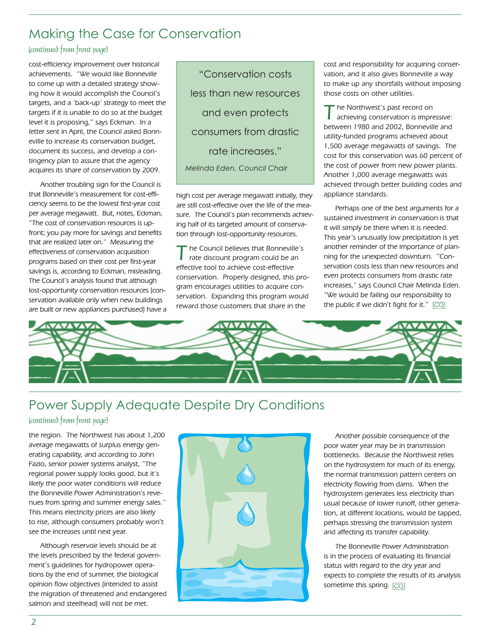### Making the Case for Conservation

### (continued from front page)

cost-efficiency improvement over historical achievements. "We would like Bonneville to come up with a detailed strategy showing how it would accomplish the Council's targets, and a 'back-up' strategy to meet the targets if it is unable to do so at the budget level it is proposing," says Eckman. In a letter sent in April, the Council asked Bonneville to increase its conservation budget, document its success, and develop a contingency plan to assure that the agency acquires its share of conservation by 2009.

Another troubling sign for the Council is that Bonneville's measurement for cost-efficiency seems to be the lowest first-year cost per average megawatt. But, notes, Eckman, "The cost of conservation resources is upfront; you pay more for savings and benefits that are realized later on." Measuring the effectiveness of conservation acquisition programs based on their cost per first-year savings is, according to Eckman, misleading. The Council's analysis found that although lost-opportunity conservation resources (conservation available only when new buildings are built or new appliances purchased) have a

"Conservation costs less than new resources and even protects consumers from drastic rate increases." *Melinda Eden, Council Chair*

high cost per average megawatt initially, they are still cost-effective over the life of the measure. The Council's plan recommends achieving half of its targeted amount of conservation through lost-opportunity resources.

' he Council believes that Bonneville's rate discount program could be an effective tool to achieve cost-effective conservation. Properly designed, this program encourages utilities to acquire conservation. Expanding this program would reward those customers that share in the

cost and responsibility for acquiring conservation, and it also gives Bonneville a way to make up any shortfalls without imposing those costs on other utilities.

The Northwest's past record on<br>
achieving conservation is impressive: between 1980 and 2002, Bonneville and utility-funded programs achieved about 1,500 average megawatts of savings. The cost for this conservation was 60 percent of the cost of power from new power plants. Another 1,000 average megawatts was achieved through better building codes and appliance standards.

Perhaps one of the best arguments for a sustained investment in conservation is that it will simply be there when it is needed. This year's unusually low precipitation is yet another reminder of the importance of planning for the unexpected downturn. "Conservation costs less than new resources and even protects consumers from drastic rate increases," says Council Chair Melinda Eden. "We would be failing our responsibility to the public if we didn't fight for it."  $\boxed{\text{CQ}}$ 



# Power Supply Adequate Despite Dry Conditions

### (continued from front page)

the region. The Northwest has about 1,200 average megawatts of surplus energy generating capability, and according to John Fazio, senior power systems analyst, "The regional power supply looks good, but it's likely the poor water conditions will reduce the Bonneville Power Administration's revenues from spring and summer energy sales." This means electricity prices are also likely to rise, although consumers probably won't see the increases until next year.

Although reservoir levels should be at the levels prescribed by the federal government's guidelines for hydropower operations by the end of summer, the biological opinion flow objectives (intended to assist the migration of threatened and endangered salmon and steelhead) will not be met.



Another possible consequence of the poor water year may be in transmission bottlenecks. Because the Northwest relies on the hydrosystem for much of its energy, the normal transmission pattern centers on electricity flowing from dams. When the hydrosystem generates less electricity than usual because of lower runoff, other generation, at different locations, would be tapped, perhaps stressing the transmission system and affecting its transfer capability.

The Bonneville Power Administration is in the process of evaluating its financial status with regard to the dry year and expects to complete the results of its analysis sometime this spring. **CQ**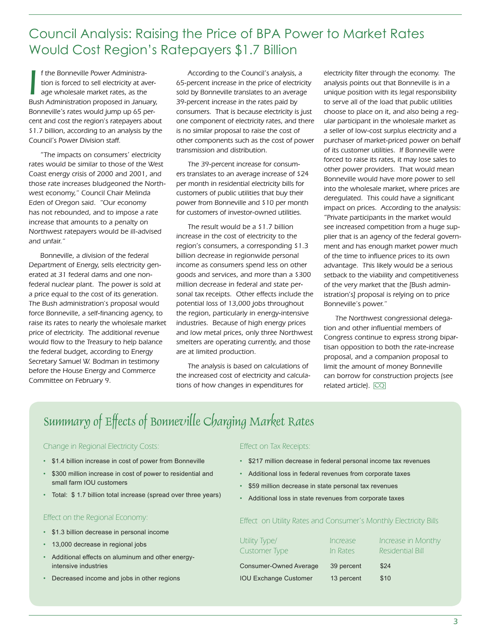### Council Analysis: Raising the Price of BPA Power to Market Rates Would Cost Region's Ratepayers \$1.7 Billion

I f the Bonneville Power Administration is forced to sell electricity at average wholesale market rates, as the Bush Administration proposed in January, f the Bonneville Power Administration is forced to sell electricity at average wholesale market rates, as the Bonneville's rates would jump up 65 percent and cost the region's ratepayers about \$1.7 billion, according to an analysis by the Council's Power Division staff.

"The impacts on consumers' electricity rates would be similar to those of the West Coast energy crisis of 2000 and 2001, and those rate increases bludgeoned the Northwest economy," Council Chair Melinda Eden of Oregon said. "Our economy has not rebounded, and to impose a rate increase that amounts to a penalty on Northwest ratepayers would be ill-advised and unfair."

Bonneville, a division of the federal Department of Energy, sells electricity generated at 31 federal dams and one nonfederal nuclear plant. The power is sold at a price equal to the cost of its generation. The Bush administration's proposal would force Bonneville, a self-financing agency, to raise its rates to nearly the wholesale market price of electricity. The additional revenue would flow to the Treasury to help balance the federal budget, according to Energy Secretary Samuel W. Bodman in testimony before the House Energy and Commerce Committee on February 9.

According to the Council's analysis, a 65-percent increase in the price of electricity sold by Bonneville translates to an average 39-percent increase in the rates paid by consumers. That is because electricity is just one component of electricity rates, and there is no similar proposal to raise the cost of other components such as the cost of power transmission and distribution.

The 39-percent increase for consumers translates to an average increase of \$24 per month in residential electricity bills for customers of public utilities that buy their power from Bonneville and \$10 per month for customers of investor-owned utilities.

The result would be a \$1.7 billion increase in the cost of electricity to the region's consumers, a corresponding \$1.3 billion decrease in regionwide personal income as consumers spend less on other goods and services, and more than a \$300 million decrease in federal and state personal tax receipts. Other effects include the potential loss of 13,000 jobs throughout the region, particularly in energy-intensive industries. Because of high energy prices and low metal prices, only three Northwest smelters are operating currently, and those are at limited production.

The analysis is based on calculations of the increased cost of electricity and calculations of how changes in expenditures for

electricity filter through the economy. The analysis points out that Bonneville is in a unique position with its legal responsibility to serve all of the load that public utilities choose to place on it, and also being a regular participant in the wholesale market as a seller of low-cost surplus electricity and a purchaser of market-priced power on behalf of its customer utilities. If Bonneville were forced to raise its rates, it may lose sales to other power providers. That would mean Bonneville would have more power to sell into the wholesale market, where prices are deregulated. This could have a significant impact on prices. According to the analysis: "Private participants in the market would see increased competition from a huge supplier that is an agency of the federal government and has enough market power much of the time to influence prices to its own advantage. This likely would be a serious setback to the viability and competitiveness of the very market that the [Bush administration's] proposal is relying on to price Bonneville's power."

The Northwest congressional delegation and other influential members of Congress continue to express strong bipartisan opposition to both the rate-increase proposal, and a companion proposal to limit the amount of money Bonneville can borrow for construction projects (see related article). CQ

# Summary of Effects of Bonneville Charging Market Rates

### Change in Regional Electricity Costs:

- \$1.4 billion increase in cost of power from Bonneville
- \$300 million increase in cost of power to residential and small farm IOU customers
- Total: \$ 1.7 billion total increase (spread over three years)

#### Effect on the Regional Economy:

- \$1.3 billion decrease in personal income
- 13,000 decrease in regional jobs
- Additional effects on aluminum and other energy intensive industries
- Decreased income and jobs in other regions

#### Effect on Tax Receipts:

- \$217 million decrease in federal personal income tax revenues
- Additional loss in federal revenues from corporate taxes
- \$59 million decrease in state personal tax revenues
- Additional loss in state revenues from corporate taxes

#### Effect on Utility Rates and Consumer's Monthly Electricity Bills

| Utility Type/<br>Customer Type | Increase<br>In Rates | Increase in Monthy<br>Residential Bill |
|--------------------------------|----------------------|----------------------------------------|
| Consumer-Owned Average         | 39 percent           | \$24                                   |
| <b>IOU Exchange Customer</b>   | 13 percent           | \$10                                   |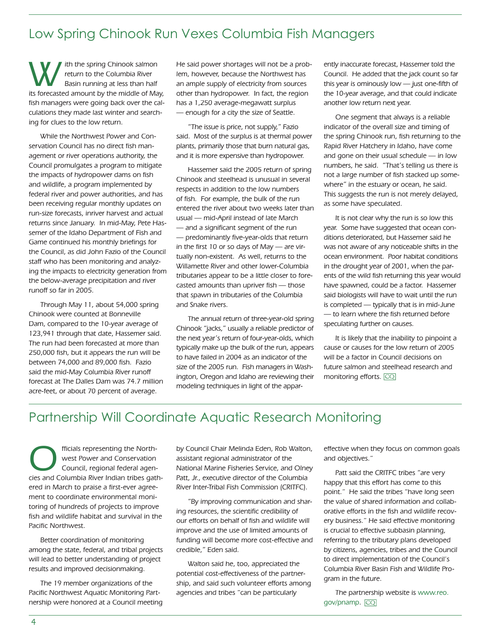### Low Spring Chinook Run Vexes Columbia Fish Managers

Ith the spring Chinook salmon<br>
return to the Columbia River<br>
Basin running at less than half return to the Columbia River its forecasted amount by the middle of May, fish managers were going back over the calculations they made last winter and searching for clues to the low return.

While the Northwest Power and Conservation Council has no direct fish management or river operations authority, the Council promulgates a program to mitigate the impacts of hydropower dams on fish and wildlife, a program implemented by federal river and power authorities, and has been receiving regular monthly updates on run-size forecasts, inriver harvest and actual returns since January. In mid-May, Pete Hassemer of the Idaho Department of Fish and Game continued his monthly briefings for the Council, as did John Fazio of the Council staff who has been monitoring and analyzing the impacts to electricity generation from the below-average precipitation and river runoff so far in 2005.

Through May 11, about 54,000 spring Chinook were counted at Bonneville Dam, compared to the 10-year average of 123,941 through that date, Hassemer said. The run had been forecasted at more than 250,000 fish, but it appears the run will be between 74,000 and 89,000 fish. Fazio said the mid-May Columbia River runoff forecast at The Dalles Dam was 74.7 million acre-feet, or about 70 percent of average.

He said power shortages will not be a problem, however, because the Northwest has an ample supply of electricity from sources other than hydropower. In fact, the region has a 1,250 average-megawatt surplus — enough for a city the size of Seattle.

"The issue is price, not supply," Fazio said. Most of the surplus is at thermal power plants, primarily those that burn natural gas, and it is more expensive than hydropower.

Hassemer said the 2005 return of spring Chinook and steelhead is unusual in several respects in addition to the low numbers of fish. For example, the bulk of the run entered the river about two weeks later than usual — mid-April instead of late March — and a significant segment of the run — predominantly five-year-olds that return in the first 10 or so days of May — are virtually non-existent. As well, returns to the Willamette River and other lower-Columbia tributaries appear to be a little closer to forecasted amounts than upriver fish — those that spawn in tributaries of the Columbia and Snake rivers.

The annual return of three-year-old spring Chinook "jacks," usually a reliable predictor of the next year's return of four-year-olds, which typically make up the bulk of the run, appears to have failed in 2004 as an indicator of the size of the 2005 run. Fish managers in Washington, Oregon and Idaho are reviewing their modeling techniques in light of the apparently inaccurate forecast, Hassemer told the Council. He added that the jack count so far this year is ominously low — just one-fifth of the 10-year average, and that could indicate another low return next year.

One segment that always is a reliable indicator of the overall size and timing of the spring Chinook run, fish returning to the Rapid River Hatchery in Idaho, have come and gone on their usual schedule — in low numbers, he said. "That's telling us there is not a large number of fish stacked up somewhere" in the estuary or ocean, he said. This suggests the run is not merely delayed, as some have speculated.

It is not clear why the run is so low this year. Some have suggested that ocean conditions deteriorated, but Hassemer said he was not aware of any noticeable shifts in the ocean environment. Poor habitat conditions in the drought year of 2001, when the parents of the wild fish returning this year would have spawned, could be a factor. Hassemer said biologists will have to wait until the run is completed — typically that is in mid-June — to learn where the fish returned before speculating further on causes.

It is likely that the inability to pinpoint a cause or causes for the low return of 2005 will be a factor in Council decisions on future salmon and steelhead research and monitoring efforts. CQ

### Partnership Will Coordinate Aquatic Research Monitoring

fficials representing the North-<br>
vest Power and Conservation<br>
Council, regional federal agen-<br>
ciss and Columbia Biver Indian tribes gath west Power and Conservation cies and Columbia River Indian tribes gathered in March to praise a first-ever agreement to coordinate environmental monitoring of hundreds of projects to improve fish and wildlife habitat and survival in the Pacific Northwest.

Better coordination of monitoring among the state, federal, and tribal projects will lead to better understanding of project results and improved decisionmaking.

The 19 member organizations of the Pacific Northwest Aquatic Monitoring Partnership were honored at a Council meeting by Council Chair Melinda Eden, Rob Walton, assistant regional administrator of the National Marine Fisheries Service, and Olney Patt, Jr., executive director of the Columbia River Inter-Tribal Fish Commission (CRITFC).

"By improving communication and sharing resources, the scientific credibility of our efforts on behalf of fish and wildlife will improve and the use of limited amounts of funding will become more cost-effective and credible," Eden said.

Walton said he, too, appreciated the potential cost-effectiveness of the partnership, and said such volunteer efforts among agencies and tribes "can be particularly

effective when they focus on common goals and objectives."

Patt said the CRITFC tribes "are very happy that this effort has come to this point." He said the tribes "have long seen the value of shared information and collaborative efforts in the fish and wildlife recovery business." He said effective monitoring is crucial to effective subbasin planning, referring to the tributary plans developed by citizens, agencies, tribes and the Council to direct implementation of the Council's Columbia River Basin Fish and Wildlife Program in the future.

The partnership website is www.reo. gov/pnamp. CQ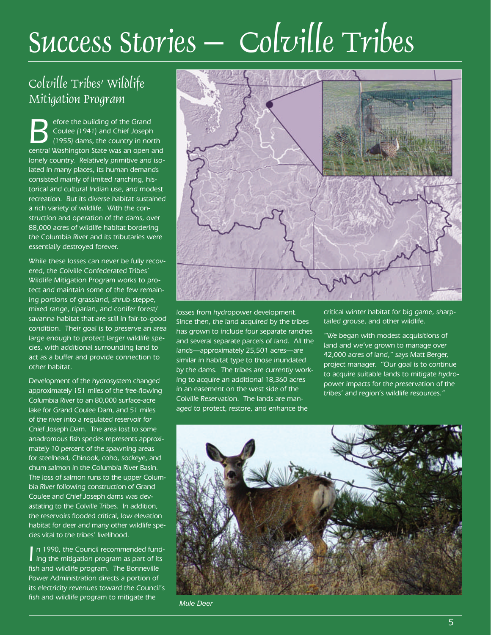# Success Stories – Colville Tribes

# Colville Tribes' Wildlife Mitigation Program

Sefore the building of the Grand<br>
Coulee (1941) and Chief Joseph<br>
(1955) dams, the country in north<br>
Contral Washington State Was an open and Coulee (1941) and Chief Joseph central Washington State was an open and lonely country. Relatively primitive and isolated in many places, its human demands consisted mainly of limited ranching, historical and cultural Indian use, and modest recreation. But its diverse habitat sustained a rich variety of wildlife. With the construction and operation of the dams, over 88,000 acres of wildlife habitat bordering the Columbia River and its tributaries were essentially destroyed forever.

While these losses can never be fully recovered, the Colville Confederated Tribes' Wildlife Mitigation Program works to protect and maintain some of the few remaining portions of grassland, shrub-steppe, mixed range, riparian, and conifer forest/ savanna habitat that are still in fair-to-good condition. Their goal is to preserve an area large enough to protect larger wildlife species, with additional surrounding land to act as a buffer and provide connection to other habitat.

Development of the hydrosystem changed approximately 151 miles of the free-flowing Columbia River to an 80,000 surface-acre lake for Grand Coulee Dam, and 51 miles of the river into a regulated reservoir for Chief Joseph Dam. The area lost to some anadromous fish species represents approximately 10 percent of the spawning areas for steelhead, Chinook, coho, sockeye, and chum salmon in the Columbia River Basin. The loss of salmon runs to the upper Columbia River following construction of Grand Coulee and Chief Joseph dams was devastating to the Colville Tribes. In addition, the reservoirs flooded critical, low elevation habitat for deer and many other wildlife species vital to the tribes' livelihood.

In 1990, the Council recommended fund-<br>ing the mitigation program as part of its ing the mitigation program as part of its fish and wildlife program. The Bonneville Power Administration directs a portion of its electricity revenues toward the Council's fish and wildlife program to mitigate the



losses from hydropower development. Since then, the land acquired by the tribes has grown to include four separate ranches and several separate parcels of land. All the lands—approximately 25,501 acres—are similar in habitat type to those inundated by the dams. The tribes are currently working to acquire an additional 18,360 acres in an easement on the west side of the Colville Reservation. The lands are managed to protect, restore, and enhance the

critical winter habitat for big game, sharptailed grouse, and other wildlife.

"We began with modest acquisitions of land and we've grown to manage over 42,000 acres of land," says Matt Berger, project manager. "Our goal is to continue to acquire suitable lands to mitigate hydropower impacts for the preservation of the tribes' and region's wildlife resources."



*Mule Deer*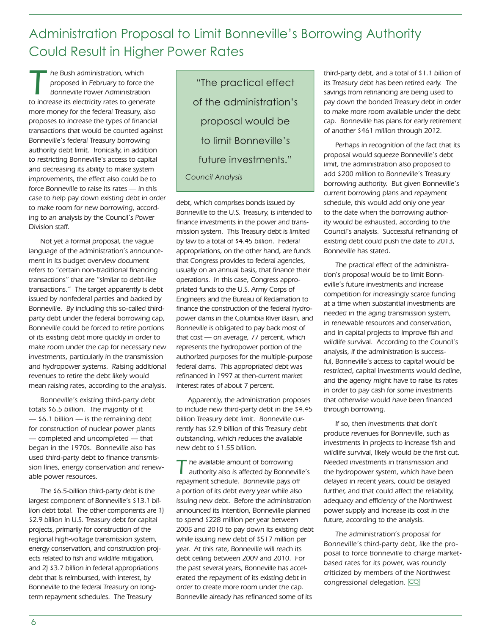Administration Proposal to Limit Bonneville's Borrowing Authority Could Result in Higher Power Rates

The Bush administration, which<br>
proposed in February to force the<br>
Bonneville Power Administration<br>
to increase its electricity rates to concept proposed in February to force the to increase its electricity rates to generate more money for the federal Treasury, also proposes to increase the types of financial transactions that would be counted against Bonneville's federal Treasury borrowing authority debt limit. Ironically, in addition to restricting Bonneville's access to capital and decreasing its ability to make system improvements, the effect also could be to force Bonneville to raise its rates — in this case to help pay down existing debt in order to make room for new borrowing, according to an analysis by the Council's Power Division staff.

Not yet a formal proposal, the vague language of the administration's announcement in its budget overview document refers to "certain non-traditional financing transactions" that are "similar to debt-like transactions." The target apparently is debt issued by nonfederal parties and backed by Bonneville. By including this so-called thirdparty debt under the federal borrowing cap, Bonneville could be forced to retire portions of its existing debt more quickly in order to make room under the cap for necessary new investments, particularly in the transmission and hydropower systems. Raising additional revenues to retire the debt likely would mean raising rates, according to the analysis.

Bonneville's existing third-party debt totals \$6.5 billion. The majority of it — \$6.1 billion — is the remaining debt for construction of nuclear power plants — completed and uncompleted — that began in the 1970s. Bonneville also has used third-party debt to finance transmission lines, energy conservation and renewable power resources.

The \$6.5-billion third-party debt is the largest component of Bonneville's \$13.1 billion debt total. The other components are 1) \$2.9 billion in U.S. Treasury debt for capital projects, primarily for construction of the regional high-voltage transmission system, energy conservation, and construction projects related to fish and wildlife mitigation, and 2) \$3.7 billion in federal appropriations debt that is reimbursed, with interest, by Bonneville to the federal Treasury on longterm repayment schedules. The Treasury

"The practical effect of the administration's proposal would be to limit Bonneville's future investments." *Council Analysis*

debt, which comprises bonds issued by Bonneville to the U.S. Treasury, is intended to finance investments in the power and transmission system. This Treasury debt is limited by law to a total of \$4.45 billion. Federal appropriations, on the other hand, are funds that Congress provides to federal agencies, usually on an annual basis, that finance their operations. In this case, Congress appropriated funds to the U.S. Army Corps of Engineers and the Bureau of Reclamation to finance the construction of the federal hydropower dams in the Columbia River Basin, and Bonneville is obligated to pay back most of that cost — on average, 77 percent, which represents the hydropower portion of the authorized purposes for the multiple-purpose federal dams. This appropriated debt was refinanced in 1997 at then-current market interest rates of about 7 percent.

Apparently, the administration proposes to include new third-party debt in the \$4.45 billion Treasury debt limit. Bonneville currently has \$2.9 billion of this Treasury debt outstanding, which reduces the available new debt to \$1.55 billion.

the available amount of borrowing authority also is affected by Bonneville's repayment schedule. Bonneville pays off a portion of its debt every year while also issuing new debt. Before the administration announced its intention, Bonneville planned to spend \$228 million per year between 2005 and 2010 to pay down its existing debt while issuing new debt of \$517 million per year. At this rate, Bonneville will reach its debt ceiling between 2009 and 2010. For the past several years, Bonneville has accelerated the repayment of its existing debt in order to create more room under the cap. Bonneville already has refinanced some of its

third-party debt, and a total of \$1.1 billion of its Treasury debt has been retired early. The savings from refinancing are being used to pay down the bonded Treasury debt in order to make more room available under the debt cap. Bonneville has plans for early retirement of another \$461 million through 2012.

Perhaps in recognition of the fact that its proposal would squeeze Bonneville's debt limit, the administration also proposed to add \$200 million to Bonneville's Treasury borrowing authority. But given Bonneville's current borrowing plans and repayment schedule, this would add only one year to the date when the borrowing authority would be exhausted, according to the Council's analysis. Successful refinancing of existing debt could push the date to 2013, Bonneville has stated.

The practical effect of the administration's proposal would be to limit Bonneville's future investments and increase competition for increasingly scarce funding at a time when substantial investments are needed in the aging transmission system, in renewable resources and conservation, and in capital projects to improve fish and wildlife survival. According to the Council's analysis, if the administration is successful, Bonneville's access to capital would be restricted, capital investments would decline, and the agency might have to raise its rates in order to pay cash for some investments that otherwise would have been financed through borrowing.

If so, then investments that don't produce revenues for Bonneville, such as investments in projects to increase fish and wildlife survival, likely would be the first cut. Needed investments in transmission and the hydropower system, which have been delayed in recent years, could be delayed further, and that could affect the reliability, adequacy and efficiency of the Northwest power supply and increase its cost in the future, according to the analysis.

The administration's proposal for Bonneville's third-party debt, like the proposal to force Bonneville to charge marketbased rates for its power, was roundly criticized by members of the Northwest congressional delegation. CQ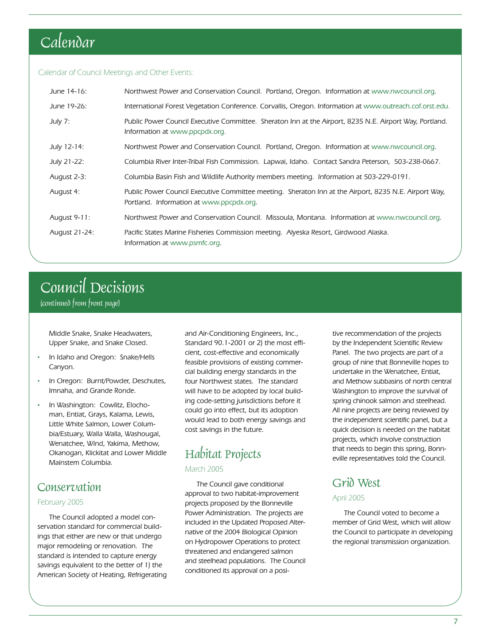# Calendar

#### Calendar of Council Meetings and Other Events:

| June 14-16:   | Northwest Power and Conservation Council. Portland, Oregon. Information at www.nwcouncil.org.                                                     |
|---------------|---------------------------------------------------------------------------------------------------------------------------------------------------|
| June 19-26:   | International Forest Vegetation Conference. Corvallis, Oregon. Information at www.outreach.cof.orst.edu.                                          |
| July 7:       | Public Power Council Executive Committee. Sheraton Inn at the Airport, 8235 N.E. Airport Way, Portland.<br>Information at www.ppcpdx.org.         |
| July 12-14:   | Northwest Power and Conservation Council. Portland, Oregon. Information at www.nwcouncil.org.                                                     |
| July 21-22:   | Columbia River Inter-Tribal Fish Commission. Lapwai, Idaho. Contact Sandra Peterson, 503-238-0667.                                                |
| August 2-3:   | Columbia Basin Fish and Wildlife Authority members meeting. Information at 503-229-0191.                                                          |
| August 4:     | Public Power Council Executive Committee meeting. Sheraton Inn at the Airport, 8235 N.E. Airport Way,<br>Portland. Information at www.ppcpdx.org. |
| August 9-11:  | Northwest Power and Conservation Council. Missoula, Montana. Information at www.nwcouncil.org.                                                    |
| August 21-24: | Pacific States Marine Fisheries Commission meeting. Alyeska Resort, Girdwood Alaska.<br>Information at www.psmfc.org.                             |

# Council Decisions

(continued from front page)

Middle Snake, Snake Headwaters, Upper Snake, and Snake Closed.

- In Idaho and Oregon: Snake/Hells Canyon.
- In Oregon: Burnt/Powder, Deschutes, Imnaha, and Grande Ronde.
- In Washington: Cowlitz, Elochoman, Entiat, Grays, Kalama, Lewis, Little White Salmon, Lower Columbia/Estuary, Walla Walla, Washougal, Wenatchee, Wind, Yakima, Methow, Okanogan, Klickitat and Lower Middle Mainstem Columbia.

### **Conservation**

### February 2005

The Council adopted a model conservation standard for commercial buildings that either are new or that undergo major remodeling or renovation. The standard is intended to capture energy savings equivalent to the better of 1) the American Society of Heating, Refrigerating and Air-Conditioning Engineers, Inc., Standard 90.1-2001 or 2) the most efficient, cost-effective and economically feasible provisions of existing commercial building energy standards in the four Northwest states. The standard will have to be adopted by local building code-setting jurisdictions before it could go into effect, but its adoption would lead to both energy savings and cost savings in the future.

### Habitat Projects March 2005

The Council gave conditional approval to two habitat-improvement projects proposed by the Bonneville Power Administration. The projects are included in the Updated Proposed Alternative of the 2004 Biological Opinion on Hydropower Operations to protect threatened and endangered salmon and steelhead populations. The Council conditioned its approval on a positive recommendation of the projects by the Independent Scientific Review Panel. The two projects are part of a group of nine that Bonneville hopes to undertake in the Wenatchee, Entiat, and Methow subbasins of north central Washington to improve the survival of spring chinook salmon and steelhead. All nine projects are being reviewed by the independent scientific panel, but a quick decision is needed on the habitat projects, which involve construction that needs to begin this spring, Bonneville representatives told the Council.

### Grid West

#### April 2005

The Council voted to become a member of Grid West, which will allow the Council to participate in developing the regional transmission organization.